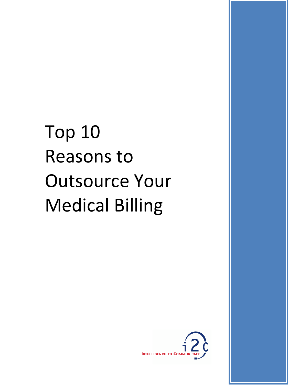# Top 10 Reasons to Outsource Your Medical Billing

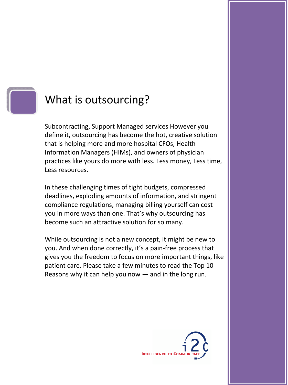

## What is outsourcing?

Subcontracting, Support Managed services However you define it, outsourcing has become the hot, creative solution that is helping more and more hospital CFOs, Health Information Managers (HIMs), and owners of physician practices like yours do more with less. Less money, Less time, Less resources.

In these challenging times of tight budgets, compressed deadlines, exploding amounts of information, and stringent compliance regulations, managing billing yourself can cost you in more ways than one. That's why outsourcing has become such an attractive solution for so many.

While outsourcing is not a new concept, it might be new to you. And when done correctly, it's a pain‐free process that gives you the freedom to focus on more important things, like patient care. Please take a few minutes to read the Top 10 Reasons why it can help you now — and in the long run.

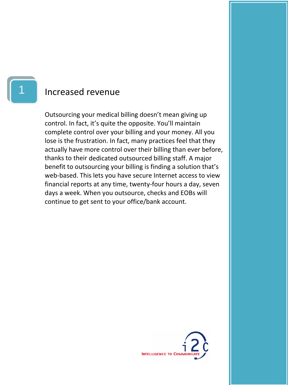#### Increased revenue

Outsourcing your medical billing doesn't mean giving up control. In fact, it's quite the opposite. You'll maintain complete control over your billing and your money. All you lose is the frustration. In fact, many practices feel that they actually have more control over their billing than ever before, thanks to their dedicated outsourced billing staff. A major benefit to outsourcing your billing is finding a solution that's web-based. This lets you have secure Internet access to view financial reports at any time, twenty‐four hours a day, seven days a week. When you outsource, checks and EOBs will continue to get sent to your office/bank account.

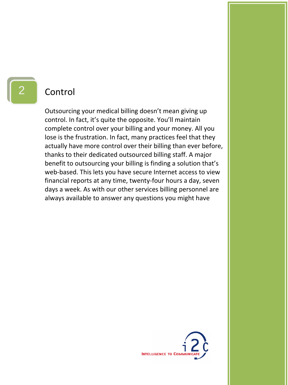#### Control

Outsourcing your medical billing doesn't mean giving up control. In fact, it's quite the opposite. You'll maintain complete control over your billing and your money. All you lose is the frustration. In fact, many practices feel that they actually have more control over their billing than ever before, thanks to their dedicated outsourced billing staff. A major benefit to outsourcing your billing is finding a solution that's web-based. This lets you have secure Internet access to view financial reports at any time, twenty‐four hours a day, seven days a week. As with our other services billing personnel are always available to answer any questions you might have

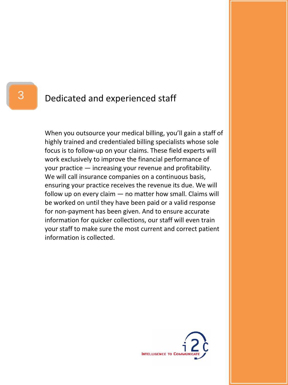#### Dedicated and experienced staff

When you outsource your medical billing, you'll gain a staff of highly trained and credentialed billing specialists whose sole focus is to follow‐up on your claims. These field experts will work exclusively to improve the financial performance of your practice — increasing your revenue and profitability. We will call insurance companies on a continuous basis, ensuring your practice receives the revenue its due. We will follow up on every claim — no matter how small. Claims will be worked on until they have been paid or a valid response for non‐payment has been given. And to ensure accurate information for quicker collections, our staff will even train your staff to make sure the most current and correct patient information is collected.

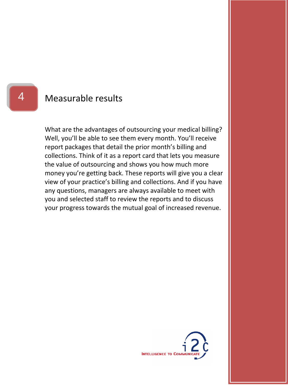#### Measurable results

What are the advantages of outsourcing your medical billing? Well, you'll be able to see them every month. You'll receive report packages that detail the prior month's billing and collections. Think of it as a report card that lets you measure the value of outsourcing and shows you how much more money you're getting back. These reports will give you a clear view of your practice's billing and collections. And if you have any questions, managers are always available to meet with you and selected staff to review the reports and to discuss your progress towards the mutual goal of increased revenue.



4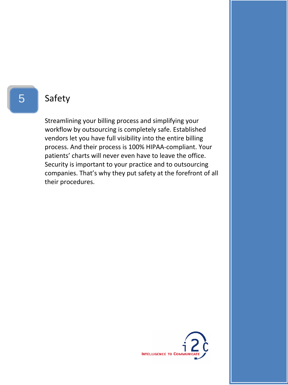#### Safety

Streamlining your billing process and simplifying your workflow by outsourcing is completely safe. Established vendors let you have full visibility into the entire billing process. And their process is 100% HIPAA‐compliant. Your patients' charts will never even have to leave the office. Security is important to your practice and to outsourcing companies. That's why they put safety at the forefront of all their procedures.

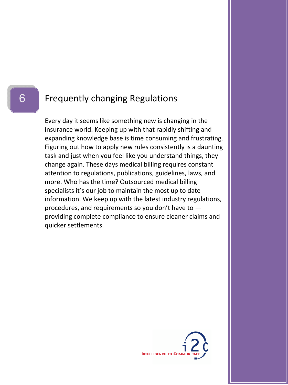#### Frequently changing Regulations

Every day it seems like something new is changing in the insurance world. Keeping up with that rapidly shifting and expanding knowledge base is time consuming and frustrating. Figuring out how to apply new rules consistently is a daunting task and just when you feel like you understand things, they change again. These days medical billing requires constant attention to regulations, publications, guidelines, laws, and more. Who has the time? Outsourced medical billing specialists it's our job to maintain the most up to date information. We keep up with the latest industry regulations, procedures, and requirements so you don't have to providing complete compliance to ensure cleaner claims and quicker settlements.

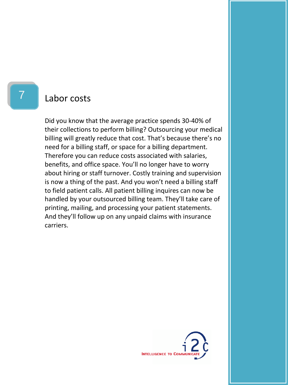#### Labor costs

Did you know that the average practice spends 30‐40% of their collections to perform billing? Outsourcing your medical billing will greatly reduce that cost. That's because there's no need for a billing staff, or space for a billing department. Therefore you can reduce costs associated with salaries, benefits, and office space. You'll no longer have to worry about hiring or staff turnover. Costly training and supervision is now a thing of the past. And you won't need a billing staff to field patient calls. All patient billing inquires can now be handled by your outsourced billing team. They'll take care of printing, mailing, and processing your patient statements. And they'll follow up on any unpaid claims with insurance carriers.



7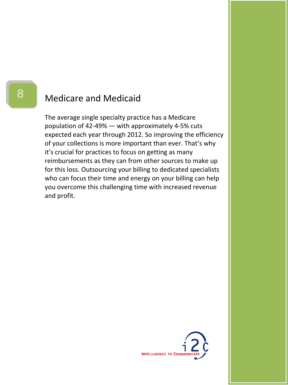#### Medicare and Medicaid

The average single specialty practice has a Medicare population of 42‐49% — with approximately 4‐5% cuts expected each year through 2012. So improving the efficiency of your collections is more important than ever. That's why it's crucial for practices to focus on getting as many reimbursements as they can from other sources to make up for this loss. Outsourcing your billing to dedicated specialists who can focus their time and energy on your billing can help you overcome this challenging time with increased revenue and profit.

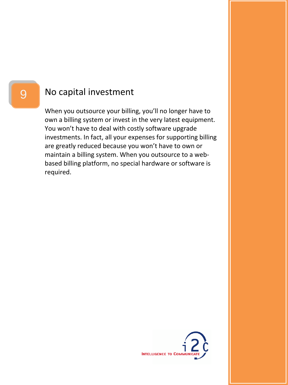#### No capital investment

When you outsource your billing, you'll no longer have to own a billing system or invest in the very latest equipment. You won't have to deal with costly software upgrade investments. In fact, all your expenses for supporting billing are greatly reduced because you won't have to own or maintain a billing system. When you outsource to a web‐ based billing platform, no special hardware or software is required.

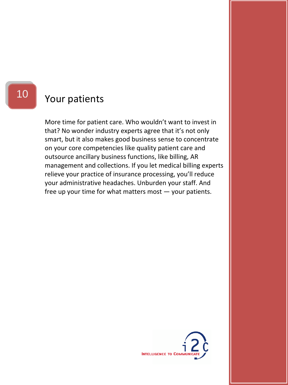### Your patients

More time for patient care. Who wouldn't want to invest in that? No wonder industry experts agree that it's not only smart, but it also makes good business sense to concentrate on your core competencies like quality patient care and outsource ancillary business functions, like billing, AR management and collections. If you let medical billing experts relieve your practice of insurance processing, you'll reduce your administrative headaches. Unburden your staff. And free up your time for what matters most — your patients.



10